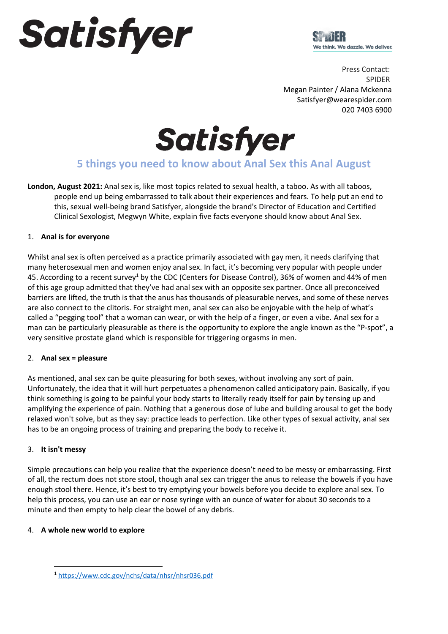# Satisfyer



Press Contact: SPIDER Megan Painter / Alana Mckenna Satisfyer@wearespider.com  020 7403 6900

Satisfyer

# **5 things you need to know about Anal Sex this Anal August**

**London, August 2021:** Anal sex is, like most topics related to sexual health, a taboo. As with all taboos, people end up being embarrassed to talk about their experiences and fears. To help put an end to this, sexual well-being brand Satisfyer, alongside the brand's Director of Education and Certified Clinical Sexologist, Megwyn White, explain five facts everyone should know about Anal Sex.

## 1. **Anal is for everyone**

Whilst anal sex is often perceived as a practice primarily associated with gay men, it needs clarifying that many heterosexual men and women enjoy anal sex. In fact, it's becoming very popular with people under 45. According to a recent survey<sup>1</sup> by the CDC (Centers for Disease Control), 36% of women and 44% of men of this age group admitted that they've had anal sex with an opposite sex partner. Once all preconceived barriers are lifted, the truth is that the anus has thousands of pleasurable nerves, and some of these nerves are also connect to the clitoris. For straight men, anal sex can also be enjoyable with the help of what's called a "pegging tool" that a woman can wear, or with the help of a finger, or even a vibe. Anal sex for a man can be particularly pleasurable as there is the opportunity to explore the angle known as the "P-spot", a very sensitive prostate gland which is responsible for triggering orgasms in men.

### 2. **Anal sex = pleasure**

As mentioned, anal sex can be quite pleasuring for both sexes, without involving any sort of pain. Unfortunately, the idea that it will hurt perpetuates a phenomenon called anticipatory pain. Basically, if you think something is going to be painful your body starts to literally ready itself for pain by tensing up and amplifying the experience of pain. Nothing that a generous dose of lube and building arousal to get the body relaxed won't solve, but as they say: practice leads to perfection. Like other types of sexual activity, anal sex has to be an ongoing process of training and preparing the body to receive it.

## 3. **It isn't messy**

Simple precautions can help you realize that the experience doesn't need to be messy or embarrassing. First of all, the rectum does not store stool, though anal sex can trigger the anus to release the bowels if you have enough stool there. Hence, it's best to try emptying your bowels before you decide to explore anal sex. To help this process, you can use an ear or nose syringe with an ounce of water for about 30 seconds to a minute and then empty to help clear the bowel of any debris.

### 4. **A whole new world to explore**

<sup>1</sup> <https://www.cdc.gov/nchs/data/nhsr/nhsr036.pdf>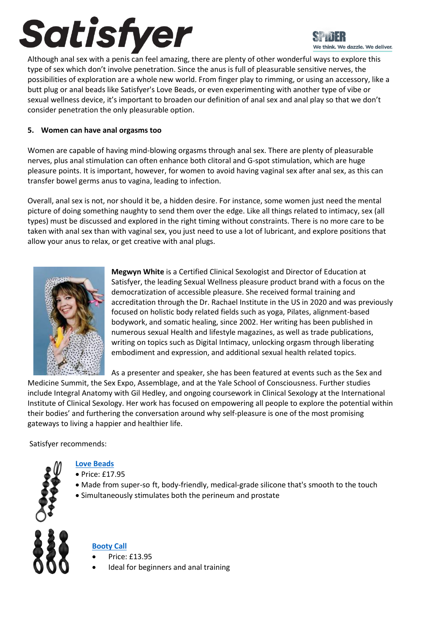# Satisfyer

We think. We dazzle. We deliver.

Although anal sex with a penis can feel amazing, there are plenty of other wonderful ways to explore this type of sex which don't involve penetration. Since the anus is full of pleasurable sensitive nerves, the possibilities of exploration are a whole new world. From finger play to rimming, or using an accessory, like a butt plug or anal beads like Satisfyer's Love Beads, or even experimenting with another type of vibe or sexual wellness device, it's important to broaden our definition of anal sex and anal play so that we don't consider penetration the only pleasurable option.

## **5. Women can have anal orgasms too**

Women are capable of having mind-blowing orgasms through anal sex. There are plenty of pleasurable nerves, plus anal stimulation can often enhance both clitoral and G-spot stimulation, which are huge pleasure points. It is important, however, for women to avoid having vaginal sex after anal sex, as this can transfer bowel germs anus to vagina, leading to infection.

Overall, anal sex is not, nor should it be, a hidden desire. For instance, some women just need the mental picture of doing something naughty to send them over the edge. Like all things related to intimacy, sex (all types) must be discussed and explored in the right timing without constraints. There is no more care to be taken with anal sex than with vaginal sex, you just need to use a lot of lubricant, and explore positions that allow your anus to relax, or get creative with anal plugs.



**Megwyn White** is a Certified Clinical Sexologist and Director of Education at Satisfyer, the leading Sexual Wellness pleasure product brand with a focus on the democratization of accessible pleasure. She received formal training and accreditation through the Dr. Rachael Institute in the US in 2020 and was previously focused on holistic body related fields such as yoga, Pilates, alignment-based bodywork, and somatic healing, since 2002. Her writing has been published in numerous sexual Health and lifestyle magazines, as well as trade publications, writing on topics such as Digital Intimacy, unlocking orgasm through liberating embodiment and expression, and additional sexual health related topics.

As a presenter and speaker, she has been featured at events such as the Sex and

Medicine Summit, the Sex Expo, Assemblage, and at the Yale School of Consciousness. Further studies include Integral Anatomy with Gil Hedley, and ongoing coursework in Clinical Sexology at the International Institute of Clinical Sexology. Her work has focused on empowering all people to explore the potential within their bodies' and furthering the conversation around why self-pleasure is one of the most promising gateways to living a happier and healthier life.

Satisfyer recommends:



## **[Love Beads](https://www.satisfyer.com/uk/products/anal-toys/anal-beads/65/love-beads)**

- Price: £17.95
- Made from super-so ft, body-friendly, medical-grade silicone that's smooth to the touch
- Simultaneously stimulates both the perineum and prostate



# **[Booty Call](https://www.satisfyer.com/uk/products/anal-toys/anal-plugs/62/booty-call)**

- Price: £13.95
- Ideal for beginners and anal training